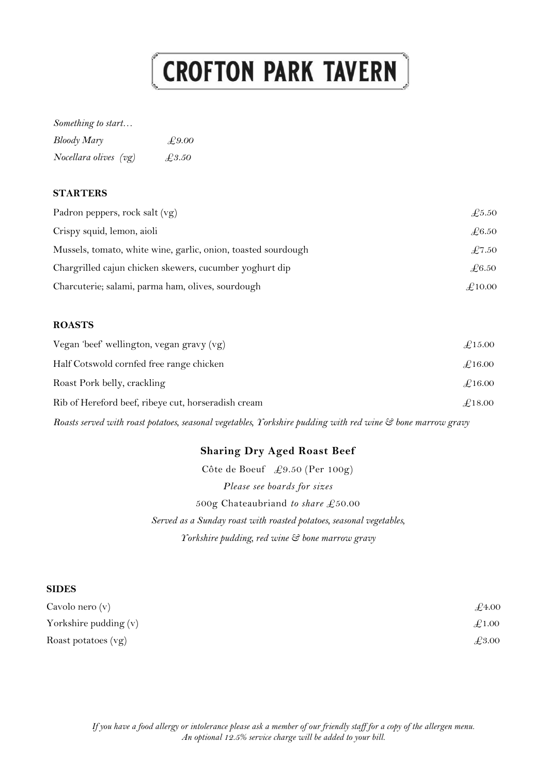# **CROFTON PARK TAVERN**

#### *Something to start…*

| Bloody Mary           | £9.00 |
|-----------------------|-------|
| Nocellara olives (vg) | £3.50 |

#### **STARTERS**

| Padron peppers, rock salt $(vg)$                              | $\pounds$ 5.50  |
|---------------------------------------------------------------|-----------------|
| Crispy squid, lemon, aioli                                    | $\pounds 6.50$  |
| Mussels, tomato, white wine, garlic, onion, toasted sourdough | $\pounds$ 7.50  |
| Chargrilled cajun chicken skewers, cucumber yoghurt dip       | $\pounds 6.50$  |
| Charcuterie; salami, parma ham, olives, sourdough             | $\pounds$ 10.00 |

#### **ROASTS**

| Vegan 'beef' wellington, vegan gravy (vg)           | $\pounds$ 15.00 |
|-----------------------------------------------------|-----------------|
| Half Cotswold cornfed free range chicken            | $\pounds$ 16.00 |
| Roast Pork belly, crackling                         | $\pounds$ 16.00 |
| Rib of Hereford beef, ribeye cut, horseradish cream | $\pounds$ 18.00 |

*Roasts served with roast potatoes, seasonal vegetables, Yorkshire pudding with red wine & bone marrow gravy*

# **Sharing Dry Aged Roast Beef**

Côte de Boeuf £9.50 (Per 100g) *Please see boards for sizes* 500g Chateaubriand *to share* £50.00 *Served as a Sunday roast with roasted potatoes, seasonal vegetables, Yorkshire pudding, red wine & bone marrow gravy*

#### **SIDES**

| Cavolo nero (v)       | $\pounds_{4.00}$ |
|-----------------------|------------------|
| Yorkshire pudding (v) | $\pounds$ 1.00   |
| Roast potatoes $(vg)$ | £3.00            |